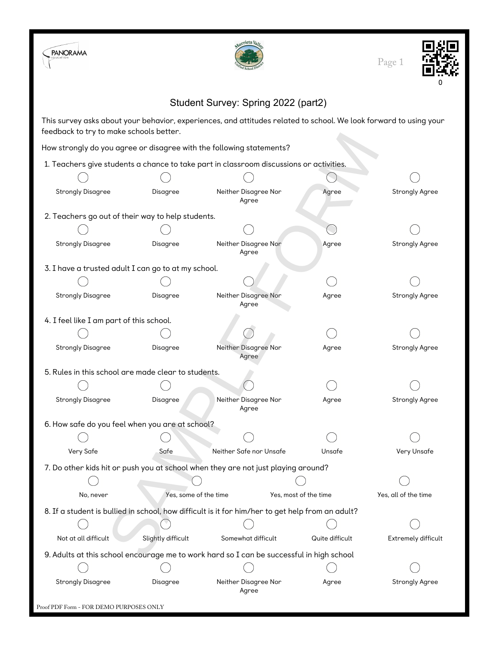



Page 1



## Student Survey: Spring 2022 (part2)

This survey asks about your behavior, experiences, and attitudes related to school. We look forward to using your feedback to try to make schools better.

| reedback to try to make scribble better.            |                       |                                                                                                  |                 |                       |
|-----------------------------------------------------|-----------------------|--------------------------------------------------------------------------------------------------|-----------------|-----------------------|
|                                                     |                       | How strongly do you agree or disagree with the following statements?                             |                 |                       |
|                                                     |                       | 1. Teachers give students a chance to take part in classroom discussions or activities.          |                 |                       |
|                                                     |                       |                                                                                                  |                 |                       |
| <b>Strongly Disagree</b>                            | Disagree              | Neither Disagree Nor<br>Agree                                                                    | Agree           | <b>Strongly Agree</b> |
| 2. Teachers go out of their way to help students.   |                       |                                                                                                  |                 |                       |
|                                                     |                       |                                                                                                  |                 |                       |
| <b>Strongly Disagree</b>                            | Disagree              | Neither Disagree Nor<br>Agree                                                                    | Agree           | <b>Strongly Agree</b> |
| 3. I have a trusted adult I can go to at my school. |                       |                                                                                                  |                 |                       |
|                                                     |                       |                                                                                                  |                 |                       |
| <b>Strongly Disagree</b>                            | Disagree              | Neither Disagree Nor<br>Agree                                                                    | Agree           | <b>Strongly Agree</b> |
| 4. I feel like I am part of this school.            |                       |                                                                                                  |                 |                       |
|                                                     |                       |                                                                                                  |                 |                       |
| <b>Strongly Disagree</b>                            | Disagree              | Neither Disagree Nor<br>Agree                                                                    | Agree           | <b>Strongly Agree</b> |
| 5. Rules in this school are made clear to students. |                       |                                                                                                  |                 |                       |
|                                                     |                       |                                                                                                  |                 |                       |
| <b>Strongly Disagree</b>                            | Disagree              | Neither Disagree Nor<br>Agree                                                                    | Agree           | <b>Strongly Agree</b> |
| 6. How safe do you feel when you are at school?     |                       |                                                                                                  |                 |                       |
|                                                     |                       |                                                                                                  |                 |                       |
| Very Safe                                           | Safe                  | Neither Safe nor Unsafe                                                                          | Unsafe          | Very Unsafe           |
|                                                     |                       | 7. Do other kids hit or push you at school when they are not just playing around?                |                 |                       |
|                                                     |                       |                                                                                                  |                 |                       |
| No, never                                           | Yes, some of the time | Yes, most of the time                                                                            |                 | Yes, all of the time  |
|                                                     |                       | 8. If a student is bullied in school, how difficult is it for him/her to get help from an adult? |                 |                       |
|                                                     |                       |                                                                                                  |                 |                       |
| Not at all difficult                                | Slightly difficult    | Somewhat difficult                                                                               | Quite difficult | Extremely difficult   |
|                                                     |                       | 9. Adults at this school encourage me to work hard so I can be successful in high school         |                 |                       |
|                                                     |                       |                                                                                                  |                 |                       |
| <b>Strongly Disagree</b>                            | Disagree              | Neither Disagree Nor<br>Agree                                                                    | Agree           | <b>Strongly Agree</b> |
| Proof PDF Form - FOR DEMO PURPOSES ONLY             |                       |                                                                                                  |                 |                       |